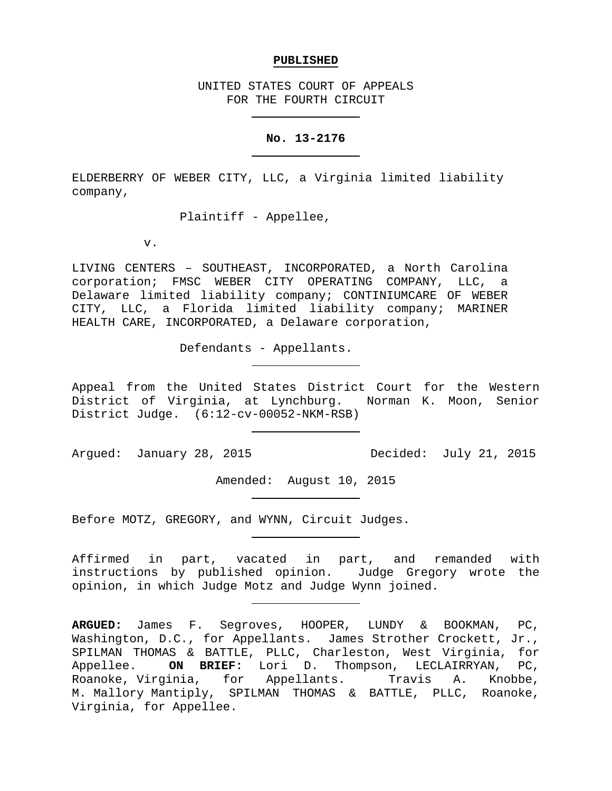#### **PUBLISHED**

UNITED STATES COURT OF APPEALS FOR THE FOURTH CIRCUIT

#### **No. 13-2176**

ELDERBERRY OF WEBER CITY, LLC, a Virginia limited liability company,

Plaintiff - Appellee,

v.

LIVING CENTERS – SOUTHEAST, INCORPORATED, a North Carolina corporation; FMSC WEBER CITY OPERATING COMPANY, LLC, a Delaware limited liability company; CONTINIUMCARE OF WEBER CITY, LLC, a Florida limited liability company; MARINER HEALTH CARE, INCORPORATED, a Delaware corporation,

Defendants - Appellants.

Appeal from the United States District Court for the Western District of Virginia, at Lynchburg. Norman K. Moon, Senior District Judge. (6:12-cv-00052-NKM-RSB)

Argued: January 28, 2015 Decided: July 21, 2015

Amended: August 10, 2015

Before MOTZ, GREGORY, and WYNN, Circuit Judges.

Affirmed in part, vacated in part, and remanded with instructions by published opinion. Judge Gregory wrote the opinion, in which Judge Motz and Judge Wynn joined.

**ARGUED:** James F. Segroves, HOOPER, LUNDY & BOOKMAN, PC, Washington, D.C., for Appellants. James Strother Crockett, Jr., SPILMAN THOMAS & BATTLE, PLLC, Charleston, West Virginia, for<br>Appellee. **ON BRIEF:** Lori D. Thompson, LECLAIRRYAN, PC, Appellee. **ON BRIEF:** Lori D. Thompson, LECLAIRRYAN, PC, Roanoke, Virginia, for Appellants. Travis A. Knobbe, M. Mallory Mantiply, SPILMAN THOMAS & BATTLE, PLLC, Roanoke, Virginia, for Appellee.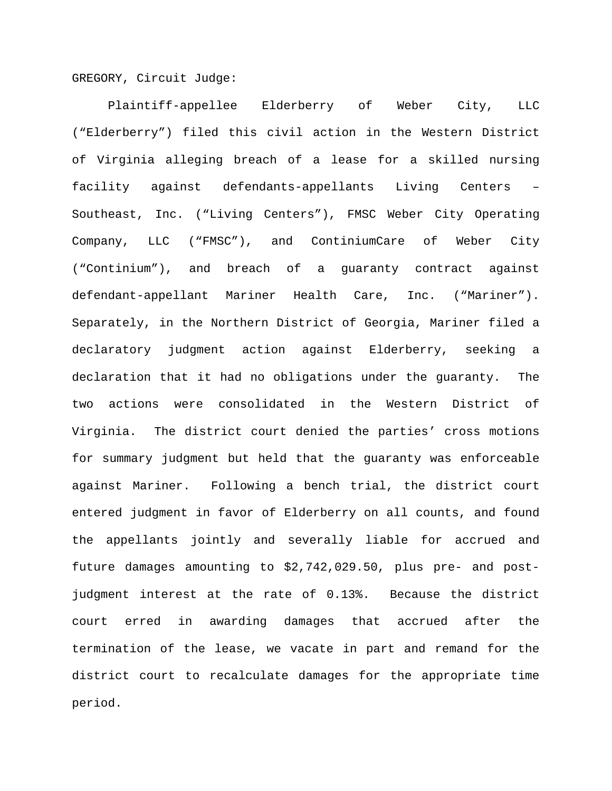GREGORY, Circuit Judge:

Plaintiff-appellee Elderberry of Weber City, LLC ("Elderberry") filed this civil action in the Western District of Virginia alleging breach of a lease for a skilled nursing facility against defendants-appellants Living Centers – Southeast, Inc. ("Living Centers"), FMSC Weber City Operating Company, LLC ("FMSC"), and ContiniumCare of Weber City ("Continium"), and breach of a guaranty contract against defendant-appellant Mariner Health Care, Inc. ("Mariner"). Separately, in the Northern District of Georgia, Mariner filed a declaratory judgment action against Elderberry, seeking a declaration that it had no obligations under the guaranty. The two actions were consolidated in the Western District of Virginia. The district court denied the parties' cross motions for summary judgment but held that the guaranty was enforceable against Mariner. Following a bench trial, the district court entered judgment in favor of Elderberry on all counts, and found the appellants jointly and severally liable for accrued and future damages amounting to \$2,742,029.50, plus pre- and postjudgment interest at the rate of 0.13%. Because the district court erred in awarding damages that accrued after the termination of the lease, we vacate in part and remand for the district court to recalculate damages for the appropriate time period.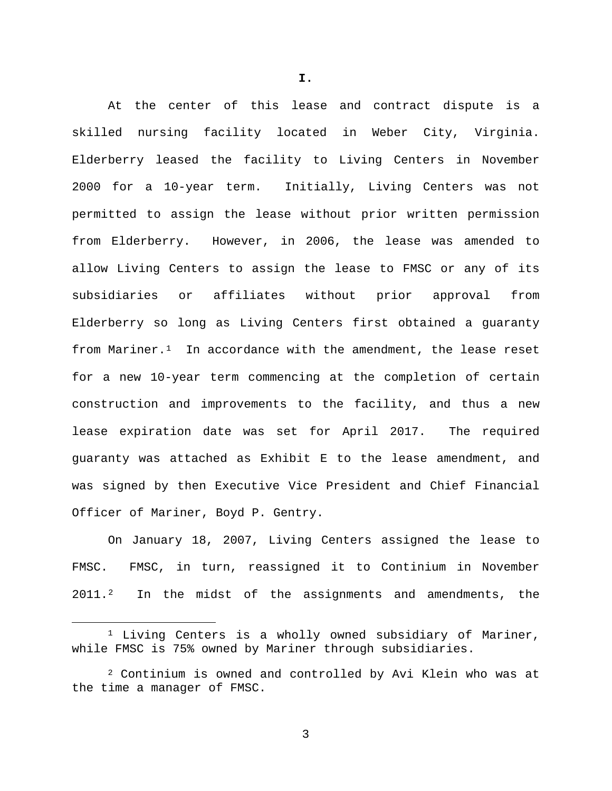At the center of this lease and contract dispute is a skilled nursing facility located in Weber City, Virginia. Elderberry leased the facility to Living Centers in November 2000 for a 10-year term. Initially, Living Centers was not permitted to assign the lease without prior written permission from Elderberry. However, in 2006, the lease was amended to allow Living Centers to assign the lease to FMSC or any of its subsidiaries or affiliates without prior approval from Elderberry so long as Living Centers first obtained a guaranty from Mariner.<sup>[1](#page-2-0)</sup> In accordance with the amendment, the lease reset for a new 10-year term commencing at the completion of certain construction and improvements to the facility, and thus a new lease expiration date was set for April 2017. The required guaranty was attached as Exhibit E to the lease amendment, and was signed by then Executive Vice President and Chief Financial Officer of Mariner, Boyd P. Gentry.

On January 18, 2007, Living Centers assigned the lease to FMSC. FMSC, in turn, reassigned it to Continium in November 2011.<sup>2</sup> In the midst of the assignments and amendments, the

**I.**

<span id="page-2-0"></span><sup>&</sup>lt;sup>1</sup> Living Centers is a wholly owned subsidiary of Mariner, while FMSC is 75% owned by Mariner through subsidiaries.

<span id="page-2-1"></span><sup>2</sup> Continium is owned and controlled by Avi Klein who was at the time a manager of FMSC.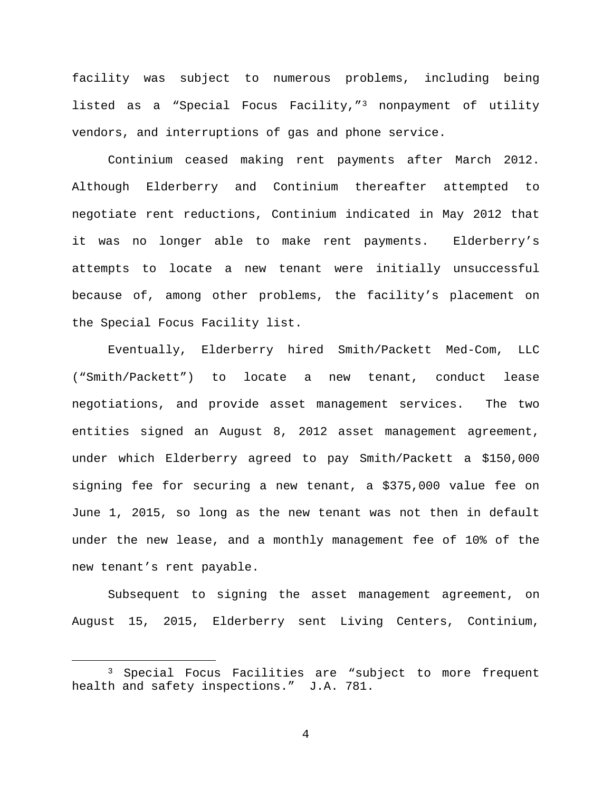facility was subject to numerous problems, including being listed as a "Special Focus Facility,"[3](#page-3-0) nonpayment of utility vendors, and interruptions of gas and phone service.

Continium ceased making rent payments after March 2012. Although Elderberry and Continium thereafter attempted to negotiate rent reductions, Continium indicated in May 2012 that it was no longer able to make rent payments. Elderberry's attempts to locate a new tenant were initially unsuccessful because of, among other problems, the facility's placement on the Special Focus Facility list.

Eventually, Elderberry hired Smith/Packett Med-Com, LLC ("Smith/Packett") to locate a new tenant, conduct lease negotiations, and provide asset management services. The two entities signed an August 8, 2012 asset management agreement, under which Elderberry agreed to pay Smith/Packett a \$150,000 signing fee for securing a new tenant, a \$375,000 value fee on June 1, 2015, so long as the new tenant was not then in default under the new lease, and a monthly management fee of 10% of the new tenant's rent payable.

Subsequent to signing the asset management agreement, on August 15, 2015, Elderberry sent Living Centers, Continium,

<span id="page-3-0"></span><sup>&</sup>lt;sup>3</sup> Special Focus Facilities are "subject to more frequent health and safety inspections." J.A. 781.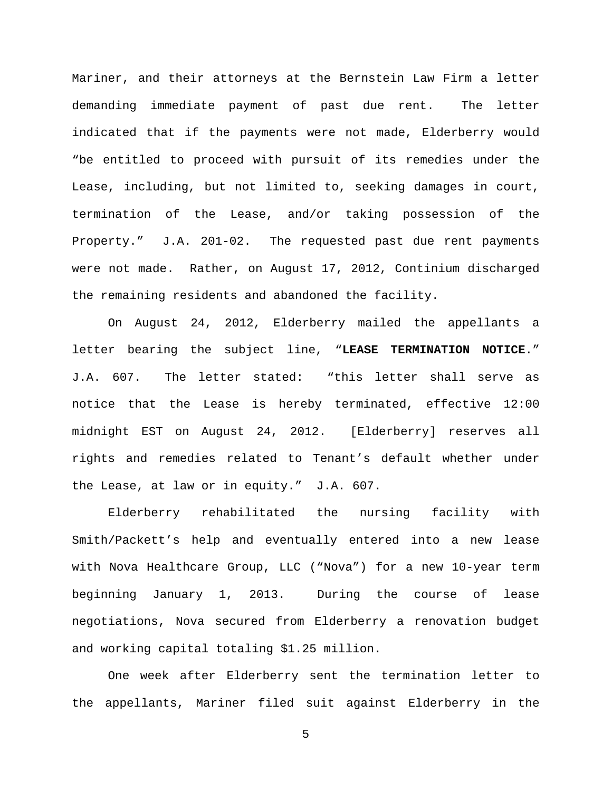Mariner, and their attorneys at the Bernstein Law Firm a letter demanding immediate payment of past due rent. The letter indicated that if the payments were not made, Elderberry would "be entitled to proceed with pursuit of its remedies under the Lease, including, but not limited to, seeking damages in court, termination of the Lease, and/or taking possession of the Property." J.A. 201-02. The requested past due rent payments were not made. Rather, on August 17, 2012, Continium discharged the remaining residents and abandoned the facility.

On August 24, 2012, Elderberry mailed the appellants a letter bearing the subject line, "**LEASE TERMINATION NOTICE**." J.A. 607. The letter stated: "this letter shall serve as notice that the Lease is hereby terminated, effective 12:00 midnight EST on August 24, 2012. [Elderberry] reserves all rights and remedies related to Tenant's default whether under the Lease, at law or in equity." J.A. 607.

Elderberry rehabilitated the nursing facility with Smith/Packett's help and eventually entered into a new lease with Nova Healthcare Group, LLC ("Nova") for a new 10-year term beginning January 1, 2013. During the course of lease negotiations, Nova secured from Elderberry a renovation budget and working capital totaling \$1.25 million.

One week after Elderberry sent the termination letter to the appellants, Mariner filed suit against Elderberry in the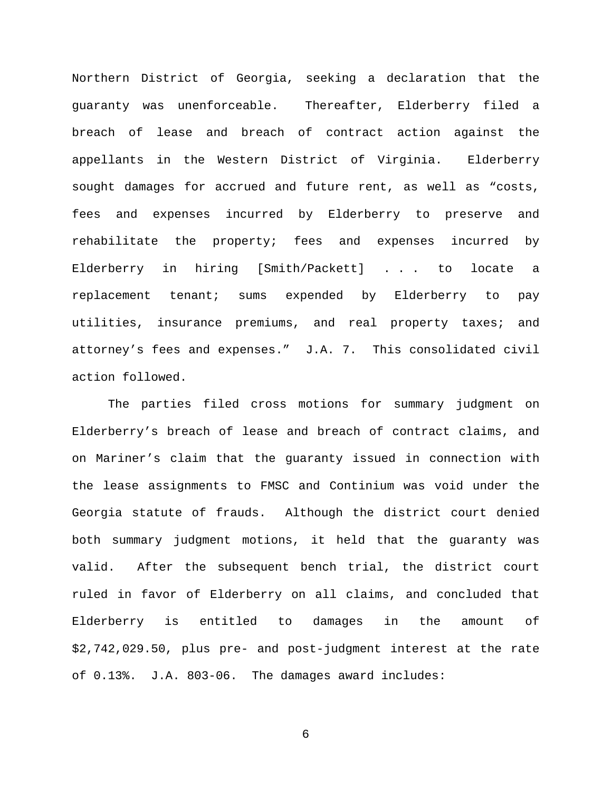Northern District of Georgia, seeking a declaration that the guaranty was unenforceable. Thereafter, Elderberry filed a breach of lease and breach of contract action against the appellants in the Western District of Virginia. Elderberry sought damages for accrued and future rent, as well as "costs, fees and expenses incurred by Elderberry to preserve and rehabilitate the property; fees and expenses incurred by Elderberry in hiring [Smith/Packett] . . . to locate a replacement tenant; sums expended by Elderberry to pay utilities, insurance premiums, and real property taxes; and attorney's fees and expenses." J.A. 7. This consolidated civil action followed.

The parties filed cross motions for summary judgment on Elderberry's breach of lease and breach of contract claims, and on Mariner's claim that the guaranty issued in connection with the lease assignments to FMSC and Continium was void under the Georgia statute of frauds. Although the district court denied both summary judgment motions, it held that the guaranty was valid. After the subsequent bench trial, the district court ruled in favor of Elderberry on all claims, and concluded that Elderberry is entitled to damages in the amount of \$2,742,029.50, plus pre- and post-judgment interest at the rate of 0.13%. J.A. 803-06. The damages award includes: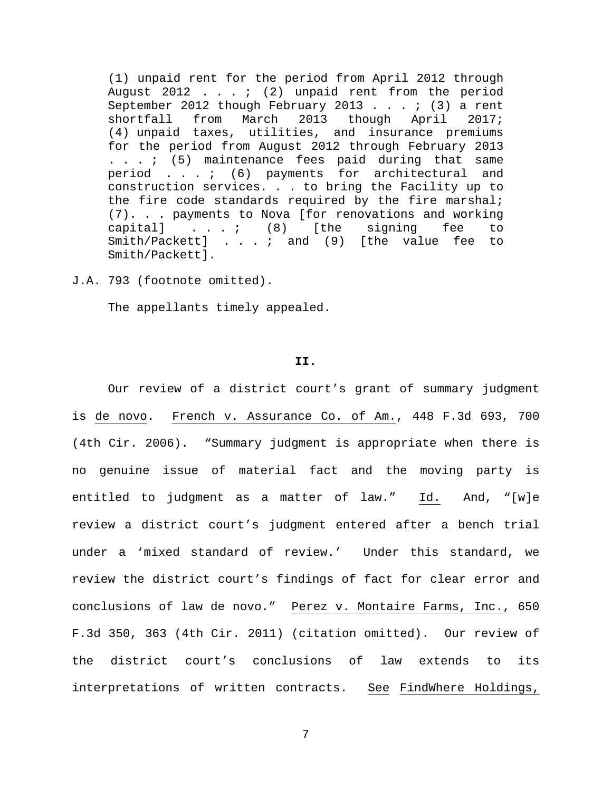(1) unpaid rent for the period from April 2012 through August 2012 . . . ; (2) unpaid rent from the period September 2012 though February 2013 . . . ; (3) a rent<br>shortfall from March 2013 though April 2017; shortfall from March 2013 though April 2017; (4) unpaid taxes, utilities, and insurance premiums for the period from August 2012 through February 2013 . . . ; (5) maintenance fees paid during that same period . . . ; (6) payments for architectural and construction services. . . to bring the Facility up to the fire code standards required by the fire marshal;  $(7)$ . . . payments to Nova [for renovations and working capital] . . . ; (8) [the signing fee to capital] . . . ; (8) [the signing fee to Smith/Packett] . . . ; and (9) [the value fee to Smith/Packett].

J.A. 793 (footnote omitted).

The appellants timely appealed.

# **II.**

Our review of a district court's grant of summary judgment is de novo. French v. Assurance Co. of Am., 448 F.3d 693, 700 (4th Cir. 2006). "Summary judgment is appropriate when there is no genuine issue of material fact and the moving party is entitled to judgment as a matter of law." Id. And, "[w]e review a district court's judgment entered after a bench trial under a 'mixed standard of review.' Under this standard, we review the district court's findings of fact for clear error and conclusions of law de novo." Perez v. Montaire Farms, Inc., 650 F.3d 350, 363 (4th Cir. 2011) (citation omitted). Our review of the district court's conclusions of law extends to its interpretations of written contracts. See FindWhere Holdings,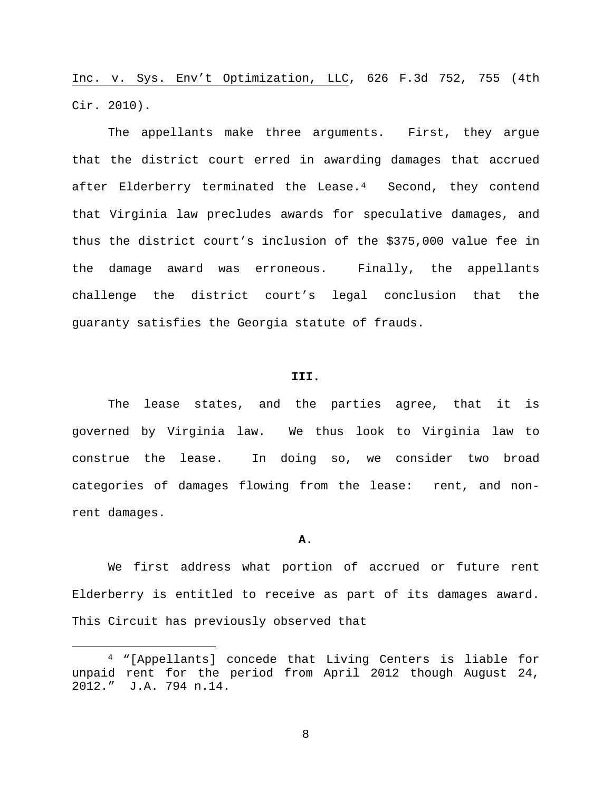Inc. v. Sys. Env't Optimization, LLC, 626 F.3d 752, 755 (4th Cir. 2010).

The appellants make three arguments. First, they argue that the district court erred in awarding damages that accrued after Elderberry terminated the Lease.<sup>[4](#page-7-0)</sup> Second, they contend that Virginia law precludes awards for speculative damages, and thus the district court's inclusion of the \$375,000 value fee in the damage award was erroneous. Finally, the appellants challenge the district court's legal conclusion that the guaranty satisfies the Georgia statute of frauds.

#### **III.**

The lease states, and the parties agree, that it is governed by Virginia law. We thus look to Virginia law to construe the lease. In doing so, we consider two broad categories of damages flowing from the lease: rent, and nonrent damages.

#### **A.**

We first address what portion of accrued or future rent Elderberry is entitled to receive as part of its damages award. This Circuit has previously observed that

<span id="page-7-0"></span> <sup>4</sup> "[Appellants] concede that Living Centers is liable for unpaid rent for the period from April 2012 though August 24, 2012." J.A. 794 n.14.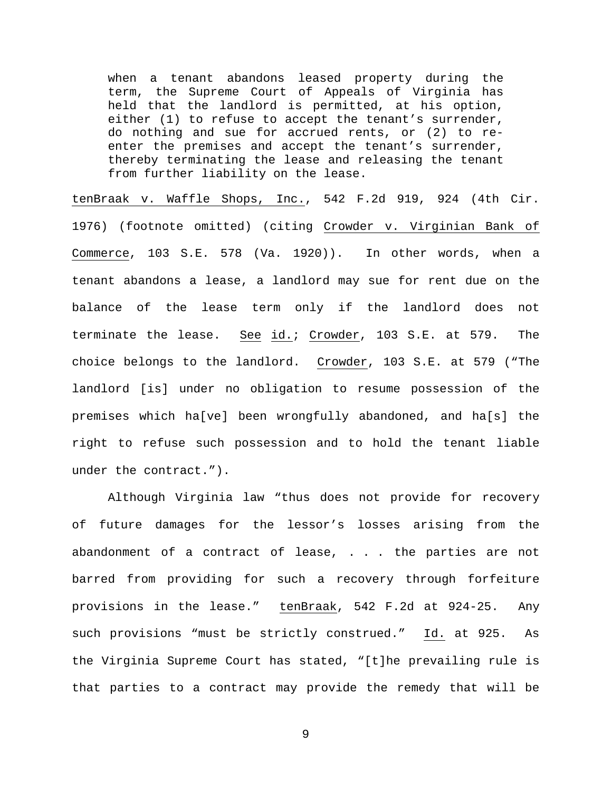when a tenant abandons leased property during the term, the Supreme Court of Appeals of Virginia has held that the landlord is permitted, at his option, either (1) to refuse to accept the tenant's surrender, do nothing and sue for accrued rents, or (2) to reenter the premises and accept the tenant's surrender, thereby terminating the lease and releasing the tenant from further liability on the lease.

tenBraak v. Waffle Shops, Inc., 542 F.2d 919, 924 (4th Cir. 1976) (footnote omitted) (citing Crowder v. Virginian Bank of Commerce, 103 S.E. 578 (Va. 1920)). In other words, when a tenant abandons a lease, a landlord may sue for rent due on the balance of the lease term only if the landlord does not terminate the lease. See id.; Crowder, 103 S.E. at 579. The choice belongs to the landlord. Crowder, 103 S.E. at 579 ("The landlord [is] under no obligation to resume possession of the premises which ha[ve] been wrongfully abandoned, and ha[s] the right to refuse such possession and to hold the tenant liable under the contract.").

Although Virginia law "thus does not provide for recovery of future damages for the lessor's losses arising from the abandonment of a contract of lease, . . . the parties are not barred from providing for such a recovery through forfeiture provisions in the lease." tenBraak, 542 F.2d at 924-25. Any such provisions "must be strictly construed." Id. at 925. As the Virginia Supreme Court has stated, "[t]he prevailing rule is that parties to a contract may provide the remedy that will be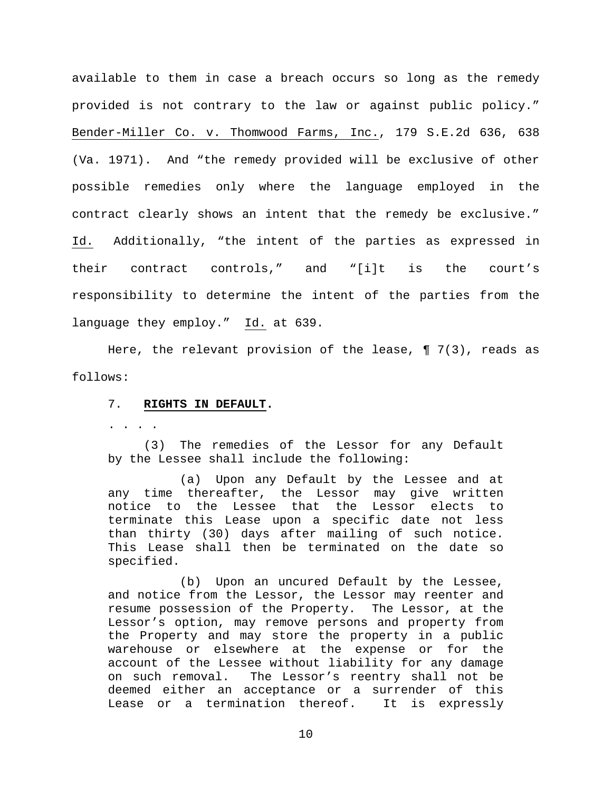available to them in case a breach occurs so long as the remedy provided is not contrary to the law or against public policy." Bender-Miller Co. v. Thomwood Farms, Inc., 179 S.E.2d 636, 638 (Va. 1971). And "the remedy provided will be exclusive of other possible remedies only where the language employed in the contract clearly shows an intent that the remedy be exclusive." Id. Additionally, "the intent of the parties as expressed in their contract controls," and "[i]t is the court's responsibility to determine the intent of the parties from the language they employ." Id. at 639.

Here, the relevant provision of the lease,  $\P$  7(3), reads as follows:

#### 7. **RIGHTS IN DEFAULT.**

. . . .

(3) The remedies of the Lessor for any Default by the Lessee shall include the following:

(a) Upon any Default by the Lessee and at any time thereafter, the Lessor may give written notice to the Lessee that the Lessor elects to terminate this Lease upon a specific date not less than thirty (30) days after mailing of such notice. This Lease shall then be terminated on the date so specified.

(b) Upon an uncured Default by the Lessee, and notice from the Lessor, the Lessor may reenter and resume possession of the Property. The Lessor, at the Lessor's option, may remove persons and property from the Property and may store the property in a public warehouse or elsewhere at the expense or for the account of the Lessee without liability for any damage on such removal. The Lessor's reentry shall not be deemed either an acceptance or a surrender of this Lease or a termination thereof. It is expressly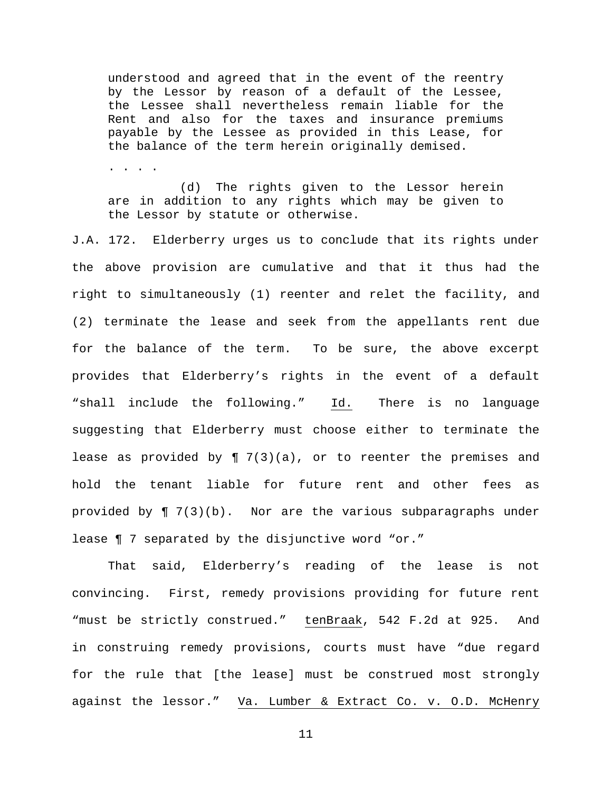understood and agreed that in the event of the reentry by the Lessor by reason of a default of the Lessee, the Lessee shall nevertheless remain liable for the Rent and also for the taxes and insurance premiums payable by the Lessee as provided in this Lease, for the balance of the term herein originally demised.

. . . .

(d) The rights given to the Lessor herein are in addition to any rights which may be given to the Lessor by statute or otherwise.

J.A. 172. Elderberry urges us to conclude that its rights under the above provision are cumulative and that it thus had the right to simultaneously (1) reenter and relet the facility, and (2) terminate the lease and seek from the appellants rent due for the balance of the term. To be sure, the above excerpt provides that Elderberry's rights in the event of a default "shall include the following." Id. There is no language suggesting that Elderberry must choose either to terminate the lease as provided by  $\P$  7(3)(a), or to reenter the premises and hold the tenant liable for future rent and other fees as provided by  $\P$  7(3)(b). Nor are the various subparagraphs under lease ¶ 7 separated by the disjunctive word "or."

That said, Elderberry's reading of the lease is not convincing. First, remedy provisions providing for future rent "must be strictly construed." tenBraak, 542 F.2d at 925. And in construing remedy provisions, courts must have "due regard for the rule that [the lease] must be construed most strongly against the lessor." Va. Lumber & Extract Co. v. O.D. McHenry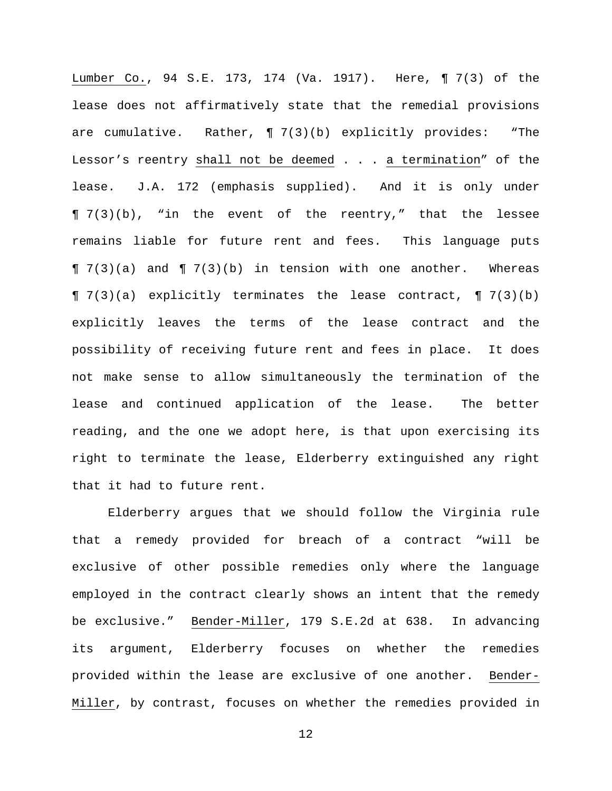Lumber Co., 94 S.E. 173, 174 (Va. 1917). Here, ¶ 7(3) of the lease does not affirmatively state that the remedial provisions are cumulative. Rather, ¶ 7(3)(b) explicitly provides: "The Lessor's reentry shall not be deemed . . . a termination" of the lease. J.A. 172 (emphasis supplied). And it is only under ¶ 7(3)(b), "in the event of the reentry," that the lessee remains liable for future rent and fees. This language puts  $\P$  7(3)(a) and  $\P$  7(3)(b) in tension with one another. Whereas ¶ 7(3)(a) explicitly terminates the lease contract, ¶ 7(3)(b) explicitly leaves the terms of the lease contract and the possibility of receiving future rent and fees in place. It does not make sense to allow simultaneously the termination of the lease and continued application of the lease. The better reading, and the one we adopt here, is that upon exercising its right to terminate the lease, Elderberry extinguished any right that it had to future rent.

Elderberry argues that we should follow the Virginia rule that a remedy provided for breach of a contract "will be exclusive of other possible remedies only where the language employed in the contract clearly shows an intent that the remedy be exclusive." Bender-Miller, 179 S.E.2d at 638. In advancing its argument, Elderberry focuses on whether the remedies provided within the lease are exclusive of one another. Bender-Miller, by contrast, focuses on whether the remedies provided in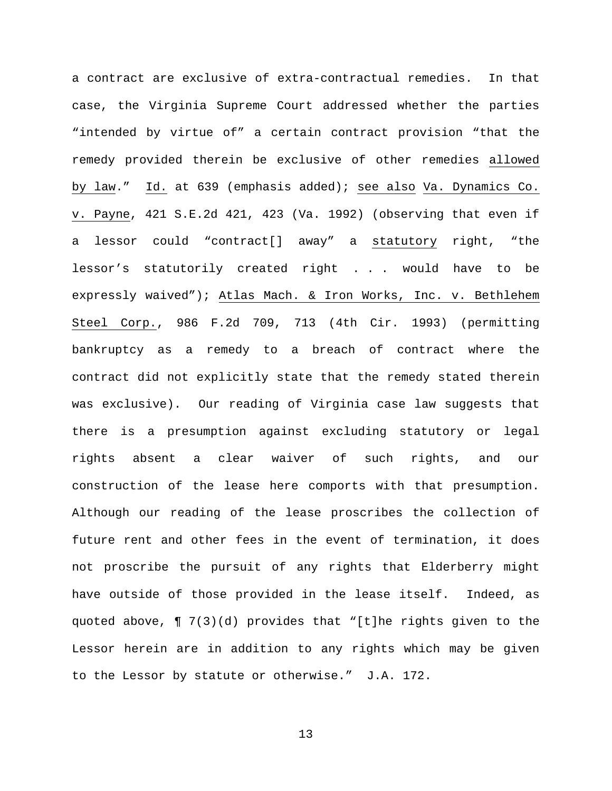a contract are exclusive of extra-contractual remedies. In that case, the Virginia Supreme Court addressed whether the parties "intended by virtue of" a certain contract provision "that the remedy provided therein be exclusive of other remedies allowed by law." Id. at 639 (emphasis added); see also Va. Dynamics Co. v. Payne, 421 S.E.2d 421, 423 (Va. 1992) (observing that even if a lessor could "contract[] away" a statutory right, "the lessor's statutorily created right . . . would have to be expressly waived"); Atlas Mach. & Iron Works, Inc. v. Bethlehem Steel Corp., 986 F.2d 709, 713 (4th Cir. 1993) (permitting bankruptcy as a remedy to a breach of contract where the contract did not explicitly state that the remedy stated therein was exclusive). Our reading of Virginia case law suggests that there is a presumption against excluding statutory or legal rights absent a clear waiver of such rights, and our construction of the lease here comports with that presumption. Although our reading of the lease proscribes the collection of future rent and other fees in the event of termination, it does not proscribe the pursuit of any rights that Elderberry might have outside of those provided in the lease itself. Indeed, as quoted above, ¶ 7(3)(d) provides that "[t]he rights given to the Lessor herein are in addition to any rights which may be given to the Lessor by statute or otherwise." J.A. 172.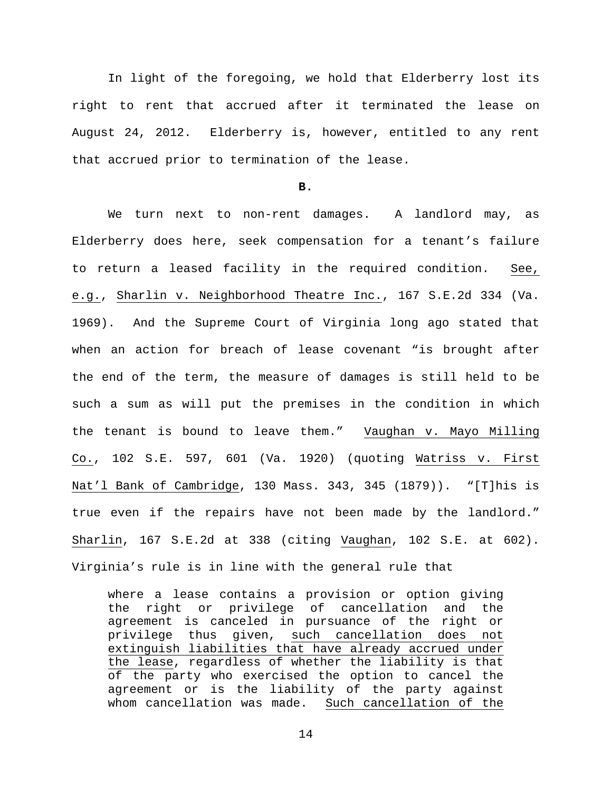In light of the foregoing, we hold that Elderberry lost its right to rent that accrued after it terminated the lease on August 24, 2012. Elderberry is, however, entitled to any rent that accrued prior to termination of the lease.

### **B.**

We turn next to non-rent damages. A landlord may, as Elderberry does here, seek compensation for a tenant's failure to return a leased facility in the required condition. See, e.g., Sharlin v. Neighborhood Theatre Inc., 167 S.E.2d 334 (Va. 1969). And the Supreme Court of Virginia long ago stated that when an action for breach of lease covenant "is brought after the end of the term, the measure of damages is still held to be such a sum as will put the premises in the condition in which the tenant is bound to leave them." Vaughan v. Mayo Milling Co., 102 S.E. 597, 601 (Va. 1920) (quoting Watriss v. First Nat'l Bank of Cambridge, 130 Mass. 343, 345 (1879)). "[T]his is true even if the repairs have not been made by the landlord." Sharlin, 167 S.E.2d at 338 (citing Vaughan, 102 S.E. at 602). Virginia's rule is in line with the general rule that

where a lease contains a provision or option giving the right or privilege of cancellation and the agreement is canceled in pursuance of the right or privilege thus given, such cancellation does not extinguish liabilities that have already accrued under the lease, regardless of whether the liability is that of the party who exercised the option to cancel the agreement or is the liability of the party against whom cancellation was made. Such cancellation of the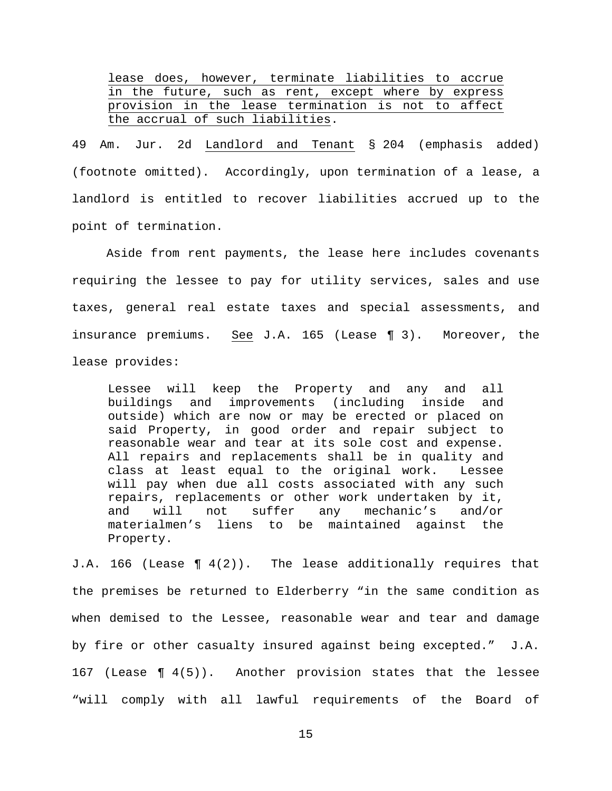lease does, however, terminate liabilities to accrue in the future, such as rent, except where by express provision in the lease termination is not to affect the accrual of such liabilities.

49 Am. Jur. 2d Landlord and Tenant § 204 (emphasis added) (footnote omitted). Accordingly, upon termination of a lease, a landlord is entitled to recover liabilities accrued up to the point of termination.

Aside from rent payments, the lease here includes covenants requiring the lessee to pay for utility services, sales and use taxes, general real estate taxes and special assessments, and insurance premiums. See J.A. 165 (Lease ¶ 3). Moreover, the lease provides:

Lessee will keep the Property and any and all buildings and improvements (including inside and outside) which are now or may be erected or placed on said Property, in good order and repair subject to reasonable wear and tear at its sole cost and expense. All repairs and replacements shall be in quality and class at least equal to the original work. Lessee will pay when due all costs associated with any such repairs, replacements or other work undertaken by it,<br>and will not suffer any mechanic's and/or and will not suffer any mechanic's and/or<br>materialmen's liens to be maintained against the to be maintained against the Property.

J.A. 166 (Lease ¶ 4(2)). The lease additionally requires that the premises be returned to Elderberry "in the same condition as when demised to the Lessee, reasonable wear and tear and damage by fire or other casualty insured against being excepted." J.A. 167 (Lease ¶ 4(5)). Another provision states that the lessee "will comply with all lawful requirements of the Board of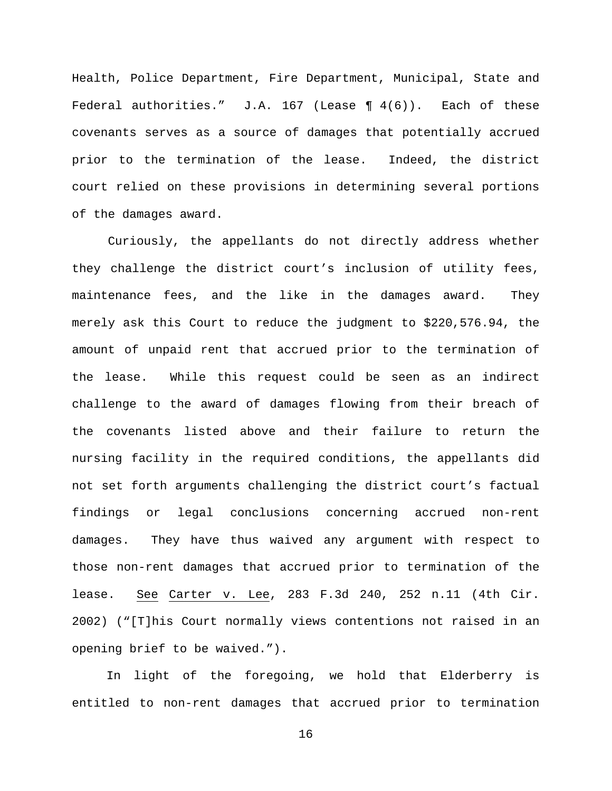Health, Police Department, Fire Department, Municipal, State and Federal authorities."  $J.A. 167$  (Lease ¶  $4(6)$ ). Each of these covenants serves as a source of damages that potentially accrued prior to the termination of the lease. Indeed, the district court relied on these provisions in determining several portions of the damages award.

Curiously, the appellants do not directly address whether they challenge the district court's inclusion of utility fees, maintenance fees, and the like in the damages award. They merely ask this Court to reduce the judgment to \$220,576.94, the amount of unpaid rent that accrued prior to the termination of the lease. While this request could be seen as an indirect challenge to the award of damages flowing from their breach of the covenants listed above and their failure to return the nursing facility in the required conditions, the appellants did not set forth arguments challenging the district court's factual findings or legal conclusions concerning accrued non-rent damages. They have thus waived any argument with respect to those non-rent damages that accrued prior to termination of the lease. See Carter v. Lee, 283 F.3d 240, 252 n.11 (4th Cir. 2002) ("[T]his Court normally views contentions not raised in an opening brief to be waived.").

In light of the foregoing, we hold that Elderberry is entitled to non-rent damages that accrued prior to termination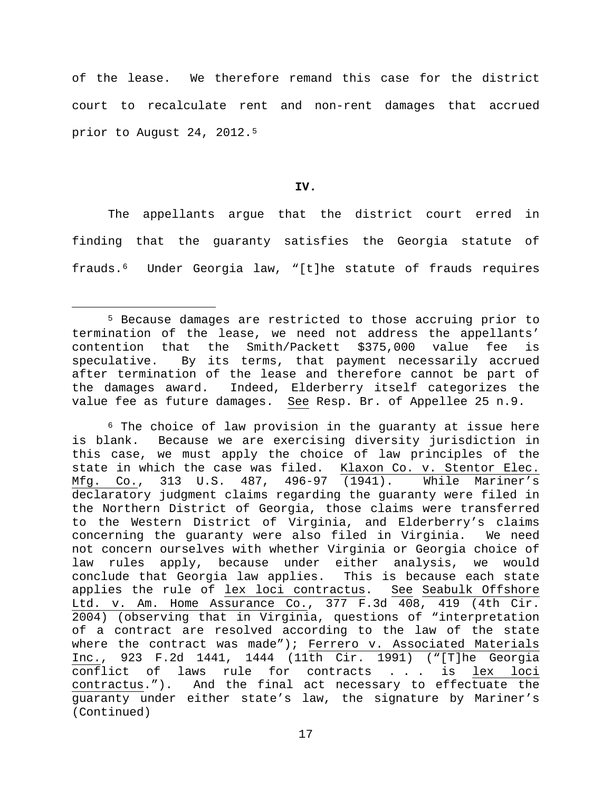of the lease. We therefore remand this case for the district court to recalculate rent and non-rent damages that accrued prior to August 24, 2012[.5](#page-16-0)

## **IV.**

The appellants argue that the district court erred in finding that the guaranty satisfies the Georgia statute of frauds.[6](#page-16-1) Under Georgia law, "[t]he statute of frauds requires

<span id="page-16-0"></span> <sup>5</sup> Because damages are restricted to those accruing prior to termination of the lease, we need not address the appellants' contention that the Smith/Packett \$375,000 value fee is speculative. By its terms, that payment necessarily accrued after termination of the lease and therefore cannot be part of the damages award. Indeed, Elderberry itself categorizes the value fee as future damages. See Resp. Br. of Appellee 25 n.9.

<span id="page-16-1"></span><sup>6</sup> The choice of law provision in the guaranty at issue here is blank. Because we are exercising diversity jurisdiction in this case, we must apply the choice of law principles of the state in which the case was filed. Klaxon Co. v. Stentor Elec. Mfg. Co., 313 U.S. 487, 496-97 (1941). While Mariner's declaratory judgment claims regarding the guaranty were filed in the Northern District of Georgia, those claims were transferred to the Western District of Virginia, and Elderberry's claims concerning the guaranty were also filed in Virginia. We need not concern ourselves with whether Virginia or Georgia choice of law rules apply, because under either analysis, we would conclude that Georgia law applies. This is because each state applies the rule of lex loci contractus. See Seabulk Offshore Ltd. v. Am. Home Assurance Co., 377 F.3d 408, 419 (4th Cir. 2004) (observing that in Virginia, questions of "interpretation of a contract are resolved according to the law of the state where the contract was made"); Ferrero v. Associated Materials Inc., 923 F.2d 1441, 1444 (11th Cir. 1991) ("[T]he Georgia conflict of laws rule for contracts . . . is<br>contractus."). And the final act necessary to effe And the final act necessary to effectuate the guaranty under either state's law, the signature by Mariner's (Continued)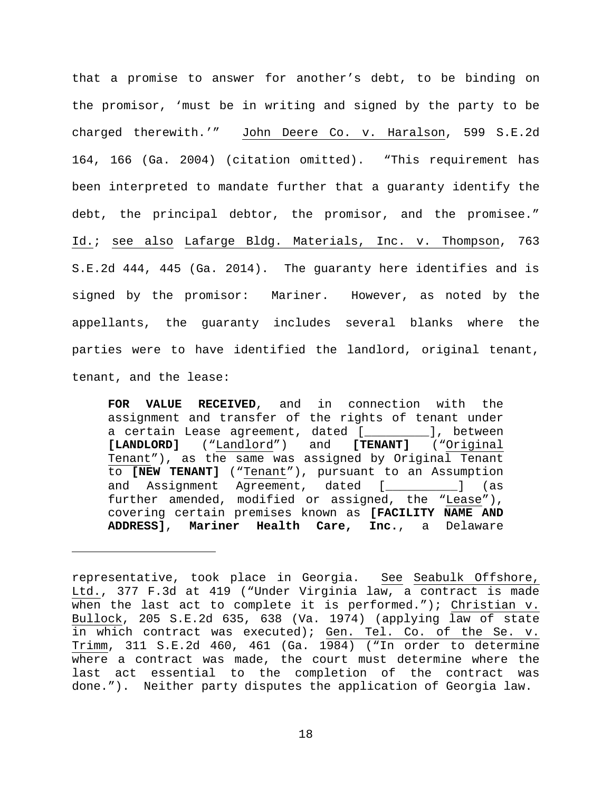that a promise to answer for another's debt, to be binding on the promisor, 'must be in writing and signed by the party to be charged therewith.'" John Deere Co. v. Haralson, 599 S.E.2d 164, 166 (Ga. 2004) (citation omitted). "This requirement has been interpreted to mandate further that a guaranty identify the debt, the principal debtor, the promisor, and the promisee." Id.; see also Lafarge Bldg. Materials, Inc. v. Thompson, 763 S.E.2d 444, 445 (Ga. 2014). The guaranty here identifies and is signed by the promisor: Mariner. However, as noted by the appellants, the guaranty includes several blanks where the parties were to have identified the landlord, original tenant, tenant, and the lease:

**FOR VALUE RECEIVED**, and in connection with the assignment and transfer of the rights of tenant under a certain Lease agreement, dated [\_\_\_\_\_\_\_\_\_], between **[LANDLORD]** ("Landlord") and **[TENANT]** ("Original Tenant"), as the same was assigned by Original Tenant to **[NEW TENANT]** ("Tenant"), pursuant to an Assumption and Assignment Agreement, dated [\_\_\_\_\_\_\_\_\_\_] (as further amended, modified or assigned, the "Lease"), covering certain premises known as **[FACILITY NAME AND ADDRESS]**, **Mariner Health Care, Inc.**, a Delaware

Ĩ.

representative, took place in Georgia. See Seabulk Offshore, Ltd., 377 F.3d at 419 ("Under Virginia law, a contract is made when the last act to complete it is performed."); Christian v. Bullock, 205 S.E.2d 635, 638 (Va. 1974) (applying law of state in which contract was executed); Gen. Tel. Co. of the Se. v. Trimm, 311 S.E.2d 460, 461 (Ga. 1984) ("In order to determine where a contract was made, the court must determine where the last act essential to the completion of the contract was done."). Neither party disputes the application of Georgia law.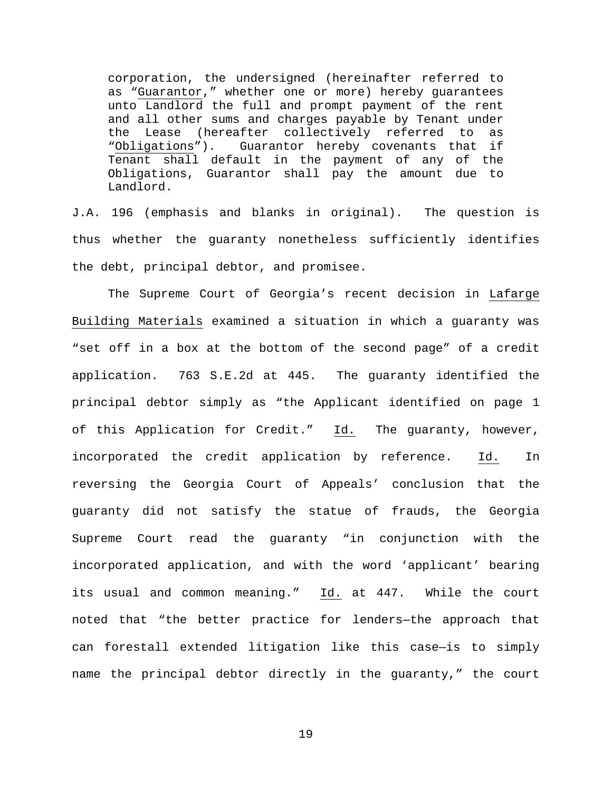corporation, the undersigned (hereinafter referred to as "Guarantor," whether one or more) hereby guarantees unto Landlord the full and prompt payment of the rent and all other sums and charges payable by Tenant under the Lease (hereafter collectively referred to as<br>"Obligations"). Guarantor hereby covenants that if Guarantor hereby covenants that if Tenant shall default in the payment of any of the Obligations, Guarantor shall pay the amount due to Landlord.

J.A. 196 (emphasis and blanks in original). The question is thus whether the guaranty nonetheless sufficiently identifies the debt, principal debtor, and promisee.

The Supreme Court of Georgia's recent decision in Lafarge Building Materials examined a situation in which a guaranty was "set off in a box at the bottom of the second page" of a credit application. 763 S.E.2d at 445. The guaranty identified the principal debtor simply as "the Applicant identified on page 1 of this Application for Credit." Id. The guaranty, however, incorporated the credit application by reference. Id. In reversing the Georgia Court of Appeals' conclusion that the guaranty did not satisfy the statue of frauds, the Georgia Supreme Court read the guaranty "in conjunction with the incorporated application, and with the word 'applicant' bearing its usual and common meaning." Id. at 447. While the court noted that "the better practice for lenders—the approach that can forestall extended litigation like this case—is to simply name the principal debtor directly in the guaranty," the court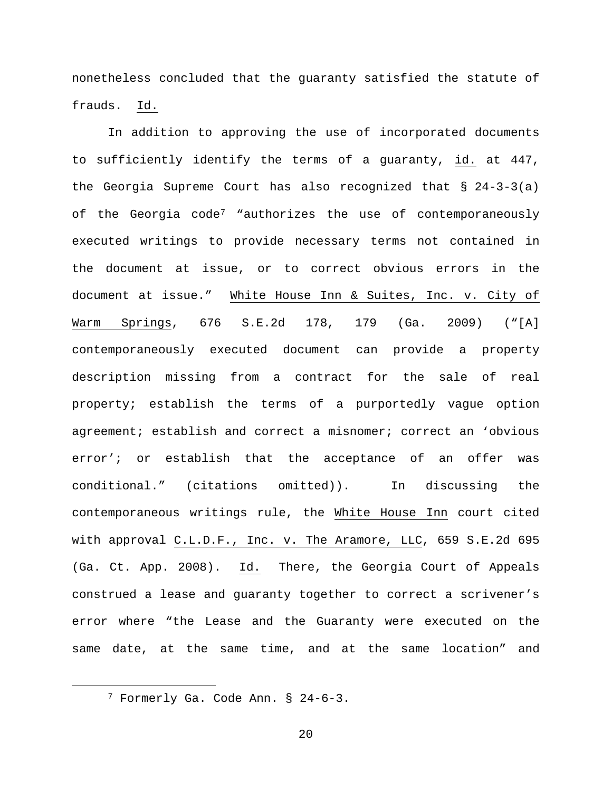nonetheless concluded that the guaranty satisfied the statute of frauds. Id.

In addition to approving the use of incorporated documents to sufficiently identify the terms of a guaranty, id. at 447, the Georgia Supreme Court has also recognized that  $\S$  24-3-3(a) of the Georgia code<sup>[7](#page-19-0)</sup> "authorizes the use of contemporaneously executed writings to provide necessary terms not contained in the document at issue, or to correct obvious errors in the document at issue." White House Inn & Suites, Inc. v. City of Warm Springs, 676 S.E.2d 178, 179 (Ga. 2009) ("[A] contemporaneously executed document can provide a property description missing from a contract for the sale of real property; establish the terms of a purportedly vague option agreement; establish and correct a misnomer; correct an 'obvious error'; or establish that the acceptance of an offer was conditional." (citations omitted)). In discussing the contemporaneous writings rule, the White House Inn court cited with approval C.L.D.F., Inc. v. The Aramore, LLC, 659 S.E.2d 695 (Ga. Ct. App. 2008). Id. There, the Georgia Court of Appeals construed a lease and guaranty together to correct a scrivener's error where "the Lease and the Guaranty were executed on the same date, at the same time, and at the same location" and

<span id="page-19-0"></span> <sup>7</sup> Formerly Ga. Code Ann. § 24-6-3.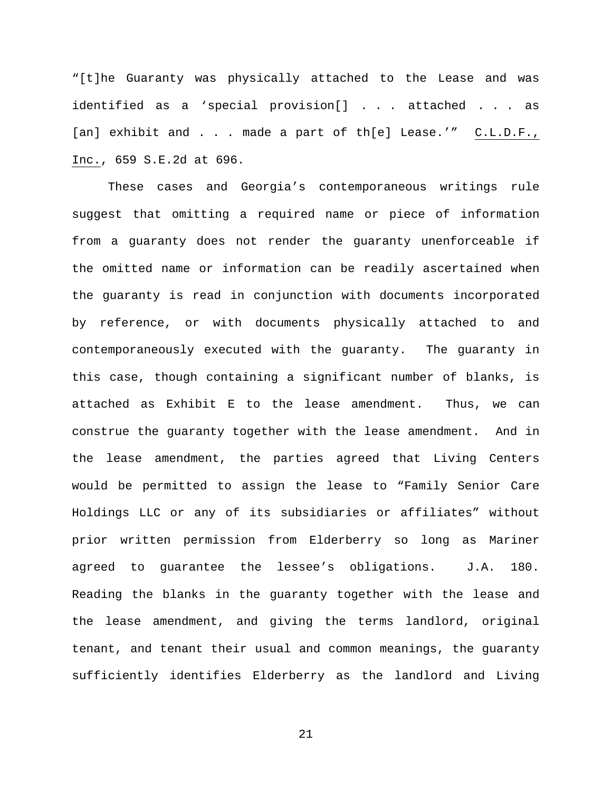"[t]he Guaranty was physically attached to the Lease and was identified as a 'special provision[] . . . attached . . . as [an] exhibit and . . . made a part of th[e] Lease.'" C.L.D.F., Inc., 659 S.E.2d at 696.

These cases and Georgia's contemporaneous writings rule suggest that omitting a required name or piece of information from a guaranty does not render the guaranty unenforceable if the omitted name or information can be readily ascertained when the guaranty is read in conjunction with documents incorporated by reference, or with documents physically attached to and contemporaneously executed with the guaranty. The guaranty in this case, though containing a significant number of blanks, is attached as Exhibit E to the lease amendment. Thus, we can construe the guaranty together with the lease amendment. And in the lease amendment, the parties agreed that Living Centers would be permitted to assign the lease to "Family Senior Care Holdings LLC or any of its subsidiaries or affiliates" without prior written permission from Elderberry so long as Mariner agreed to guarantee the lessee's obligations. J.A. 180. Reading the blanks in the guaranty together with the lease and the lease amendment, and giving the terms landlord, original tenant, and tenant their usual and common meanings, the guaranty sufficiently identifies Elderberry as the landlord and Living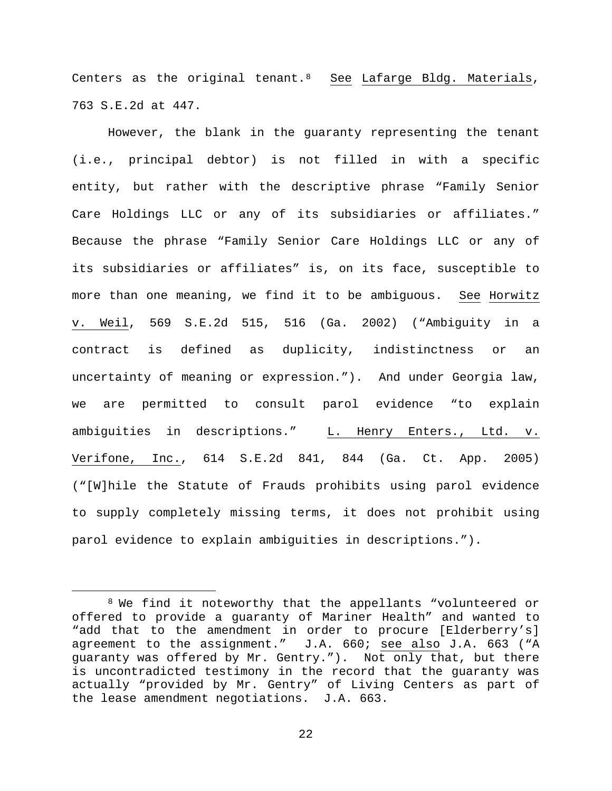Centers as the original tenant. $8$  See Lafarge Bldg. Materials, 763 S.E.2d at 447.

However, the blank in the guaranty representing the tenant (i.e., principal debtor) is not filled in with a specific entity, but rather with the descriptive phrase "Family Senior Care Holdings LLC or any of its subsidiaries or affiliates." Because the phrase "Family Senior Care Holdings LLC or any of its subsidiaries or affiliates" is, on its face, susceptible to more than one meaning, we find it to be ambiguous. See Horwitz v. Weil, 569 S.E.2d 515, 516 (Ga. 2002) ("Ambiguity in a contract is defined as duplicity, indistinctness or an uncertainty of meaning or expression."). And under Georgia law, we are permitted to consult parol evidence "to explain ambiguities in descriptions." L. Henry Enters., Ltd. v. Verifone, Inc., 614 S.E.2d 841, 844 (Ga. Ct. App. 2005) ("[W]hile the Statute of Frauds prohibits using parol evidence to supply completely missing terms, it does not prohibit using parol evidence to explain ambiguities in descriptions.").

<span id="page-21-0"></span> <sup>8</sup> We find it noteworthy that the appellants "volunteered or offered to provide a guaranty of Mariner Health" and wanted to "add that to the amendment in order to procure [Elderberry's] agreement to the assignment." J.A. 660; see also J.A. 663 ("A guaranty was offered by Mr. Gentry."). Not only that, but there is uncontradicted testimony in the record that the guaranty was actually "provided by Mr. Gentry" of Living Centers as part of the lease amendment negotiations. J.A. 663.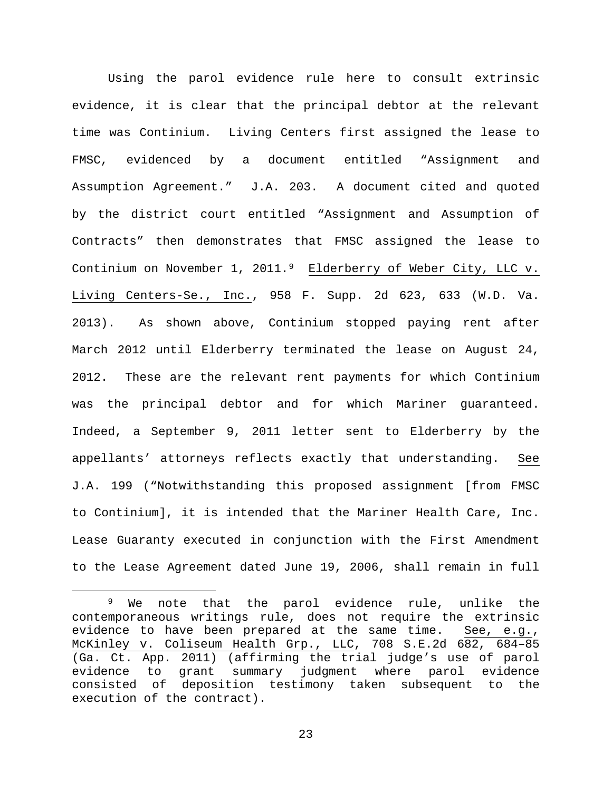Using the parol evidence rule here to consult extrinsic evidence, it is clear that the principal debtor at the relevant time was Continium. Living Centers first assigned the lease to FMSC, evidenced by a document entitled "Assignment and Assumption Agreement." J.A. 203. A document cited and quoted by the district court entitled "Assignment and Assumption of Contracts" then demonstrates that FMSC assigned the lease to Continium on November 1, 2011.<sup>[9](#page-22-0)</sup> Elderberry of Weber City, LLC v. Living Centers-Se., Inc., 958 F. Supp. 2d 623, 633 (W.D. Va. 2013). As shown above, Continium stopped paying rent after March 2012 until Elderberry terminated the lease on August 24, 2012. These are the relevant rent payments for which Continium was the principal debtor and for which Mariner guaranteed. Indeed, a September 9, 2011 letter sent to Elderberry by the appellants' attorneys reflects exactly that understanding. See J.A. 199 ("Notwithstanding this proposed assignment [from FMSC to Continium], it is intended that the Mariner Health Care, Inc. Lease Guaranty executed in conjunction with the First Amendment to the Lease Agreement dated June 19, 2006, shall remain in full

<span id="page-22-0"></span><sup>&</sup>lt;sup>9</sup> We note that the parol evidence rule, unlike the contemporaneous writings rule, does not require the extrinsic<br>evidence to have been prepared at the same time. See, e.g., evidence to have been prepared at the same time. McKinley v. Coliseum Health Grp., LLC, 708 S.E.2d 682, 684–85 (Ga. Ct. App. 2011) (affirming the trial judge's use of parol evidence to grant summary judgment where parol evidence consisted of deposition testimony taken subsequent to the execution of the contract).